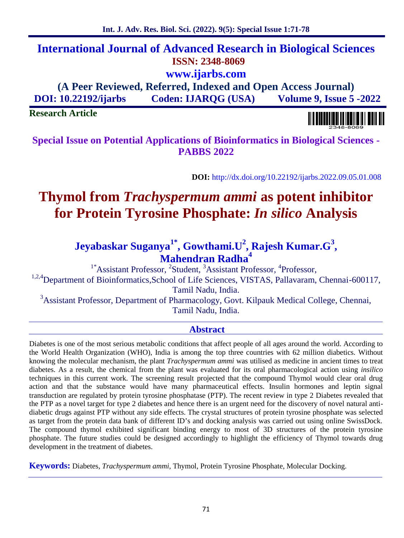# **International Journal of Advanced Research in Biological Sciences ISSN: 2348-8069 www.ijarbs.com**

**(A Peer Reviewed, Referred, Indexed and Open Access Journal) DOI: 10.22192/ijarbs Coden: IJARQG (USA) Volume 9, Issue 5 -2022**

**Research Article**

**Special Issue on Potential Applications of Bioinformatics in Biological Sciences - PABBS 2022**

**DOI:** http://dx.doi.org/10.22192/ijarbs.2022.09.05.01.008

# **Thymol from** *Trachyspermum ammi* **as potent inhibitor for Protein Tyrosine Phosphate:** *In silico* **Analysis**

## **Jeyabaskar Suganya1\* , Gowthami.U<sup>2</sup> , Rajesh Kumar.G<sup>3</sup> , Mahendran Radha<sup>4</sup>**

<sup>1\*</sup>Assistant Professor, <sup>2</sup>Student, <sup>3</sup>Assistant Professor, <sup>4</sup>Professor, <sup>1,2,4</sup>Department of Bioinformatics,School of Life Sciences, VISTAS, Pallavaram, Chennai-600117,

Tamil Nadu, India.

<sup>3</sup>Assistant Professor, Department of Pharmacology, Govt. Kilpauk Medical College, Chennai, Tamil Nadu, India.

### **Abstract**

Diabetes is one of the most serious metabolic conditions that affect people of all ages around the world. According to the World Health Organization (WHO), India is among the top three countries with 62 million diabetics. Without knowing the molecular mechanism, the plant *Trachyspermum ammi* was utilised as medicine in ancient times to treat diabetes. As a result, the chemical from the plant was evaluated for its oral pharmacological action using *insilico* techniques in this current work. The screening result projected that the compound Thymol would clear oral drug action and that the substance would have many pharmaceutical effects. Insulin hormones and leptin signal transduction are regulated by protein tyrosine phosphatase (PTP). The recent review in type 2 Diabetes revealed that the PTP as a novel target for type 2 diabetes and hence there is an urgent need for the discovery of novel natural anti diabetic drugs against PTP without any side effects. The crystal structures of protein tyrosine phosphate was selected as target from the protein data bank of different ID's and docking analysis was carried out using online SwissDock. The compound thymol exhibited significant binding energy to most of 3D structures of the protein tyrosine phosphate. The future studies could be designed accordingly to highlight the efficiency of Thymol towards drug development in the treatment of diabetes.

**Keywords:** Diabetes*, Trachyspermum ammi,* Thymol, Protein Tyrosine Phosphate, Molecular Docking.

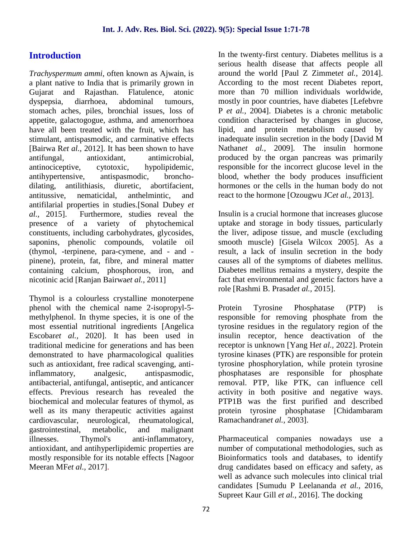### **Introduction**

*Trachyspermum ammi,* often known as Ajwain, is a plant native to India that is primarily grown in Gujarat and Rajasthan. Flatulence, atonic dyspepsia, diarrhoea, abdominal tumours, stomach aches, piles, bronchial issues, loss of appetite, galactogogue, asthma, and amenorrhoea have all been treated with the fruit, which has stimulant, antispasmodic, and carminative effects [Bairwa R*et al.,* 2012]. It has been shown to have antifungal, antioxidant, antimicrobial, antinociceptive, cytotoxic, hypolipidemic, antihypertensive, antispasmodic, broncho dilating, antilithiasis, diuretic, abortifacient, antitussive, nematicidal, anthelmintic, and antifilarial properties in studies.[Sonal Dubey *et al.,* 2015]. Furthermore, studies reveal the presence of a variety of phytochemical constituents, including carbohydrates, glycosides, saponins, phenolic compounds, volatile oil (thymol, -terpinene, para-cymene, and - and pinene), protein, fat, fibre, and mineral matter containing calcium, phosphorous, iron, and nicotinic acid [Ranjan Bairwa*et al.,* 2011]

Thymol is a colourless crystalline monoterpene phenol with the chemical name 2-isopropyl-5 methylphenol. In thyme species, it is one of the most essential nutritional ingredients [Angelica Escobar*et al.,* 2020]. It has been used in traditional medicine for generations and has been demonstrated to have pharmacological qualities such as antioxidant, free radical scavenging, antiinflammatory, analgesic, antispasmodic, antibacterial, antifungal, antiseptic, and anticancer effects. Previous research has revealed the biochemical and molecular features of thymol, as well as its many therapeutic activities against cardiovascular, neurological, rheumatological, gastrointestinal, metabolic, and malignant illnesses. Thymol's anti-inflammatory. Thymol's anti-inflammatory, antioxidant, and antihyperlipidemic properties are mostly responsible for its notable effects [Nagoor Meeran MF*et al.,* 2017].

In the twenty-first century. Diabetes mellitus is a serious health disease that affects people all around the world [Paul Z Zimmet*et al.,* 2014]. According to the most recent Diabetes report, more than 70 million individuals worldwide, mostly in poor countries, have diabetes [Lefebvre P *et al.,* 2004]. Diabetes is a chronic metabolic condition characterised by changes in glucose, lipid, and protein metabolism caused by inadequate insulin secretion in the body [David M Nathan*et al.,* 2009]. The insulin hormone produced by the organ pancreas was primarily responsible for the incorrect glucose level in the blood, whether the body produces insufficient hormones or the cells in the human body do not react to the hormone [Ozougwu JC*et al.,* 2013].

Insulin is a crucial hormone that increases glucose uptake and storage in body tissues, particularly the liver, adipose tissue, and muscle (excluding smooth muscle) [Gisela Wilcox 2005]. As a result, a lack of insulin secretion in the body causes all of the symptoms of diabetes mellitus. Diabetes mellitus remains a mystery, despite the fact that environmental and genetic factors have a role [Rashmi B. Prasad*et al.,* 2015].

Protein Tyrosine Phosphatase (PTP) is responsible for removing phosphate from the tyrosine residues in the regulatory region of the insulin receptor, hence deactivation of the receptor is unknown [Yang H*et al.,* 2022]. Protein tyrosine kinases (PTK) are responsible for protein tyrosine phosphorylation, while protein tyrosine phosphatases are responsible for phosphate removal. PTP, like PTK, can influence cell activity in both positive and negative ways. PTP1B was the first purified and described protein tyrosine phosphatase [Chidambaram Ramachandran*et al.,* 2003].

Pharmaceutical companies nowadays use a number of computational methodologies, such as Bioinformatics tools and databases, to identify drug candidates based on efficacy and safety, as well as advance such molecules into clinical trial candidates [Sumudu P Leelananda *et al.,* 2016, Supreet Kaur Gill *et al.,* 2016]. The docking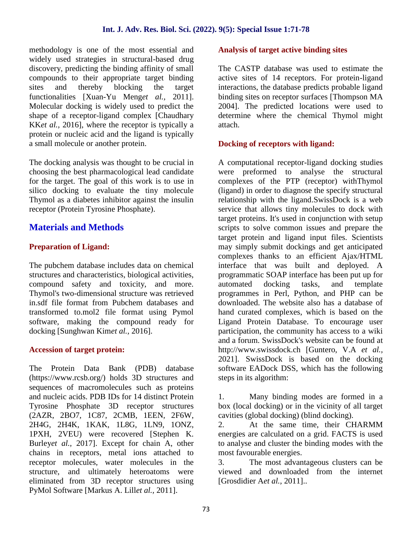methodology is one of the most essential and widely used strategies in structural-based drug discovery, predicting the binding affinity of small compounds to their appropriate target binding sites and thereby blocking the target functionalities [Xuan-Yu Meng*et al.,* 2011]. Molecular docking is widely used to predict the shape of a receptor-ligand complex [Chaudhary KK*et al.,* 2016], where the receptor is typically a protein or nucleic acid and the ligand is typically a small molecule or another protein.

The docking analysis was thought to be crucial in choosing the best pharmacological lead candidate for the target. The goal of this work is to use in silico docking to evaluate the tiny molecule Thymol as a diabetes inhibitor against the insulin receptor (Protein Tyrosine Phosphate).

### **Materials and Methods**

### **Preparation of Ligand:**

The pubchem database includes data on chemical structures and characteristics, biological activities, compound safety and toxicity, and more. Thymol's two-dimensional structure was retrieved in.sdf file format from Pubchem databases and transformed to.mol2 file format using Pymol software, making the compound ready for docking [Sunghwan Kim*et al.,* 2016].

### **Accession of target protein:**

The Protein Data Bank (PDB) database (https://www.rcsb.org/) holds 3D structures and sequences of macromolecules such as proteins and nucleic acids. PDB IDs for 14 distinct Protein Tyrosine Phosphate 3D receptor structures (2AZR, 2BO7, 1C87, 2CMB, 1EEN, 2F6W, 2H4G, 2H4K, 1KAK, 1L8G, 1LN9, 1ONZ, 1PXH, 2VEU) were recovered [Stephen K. Burley*et al.,* 2017]. Except for chain A, other chains in receptors, metal ions attached to receptor molecules, water molecules in the 3. structure, and ultimately heteroatoms were eliminated from 3D receptor structures using PyMol Software [Markus A. Lill*et al.,* 2011].

### **Analysis of target active binding sites**

The CASTP database was used to estimate the active sites of 14 receptors. For protein-ligand interactions, the database predicts probable ligand binding sites on receptor surfaces [Thompson MA 2004]. The predicted locations were used to determine where the chemical Thymol might attach.

### **Docking of receptors with ligand:**

A computational receptor-ligand docking studies were preformed to analyse the structural complexes of the PTP (receptor) withThymol (ligand) in order to diagnose the specify structural relationship with the ligand.SwissDock is a web service that allows tiny molecules to dock with target proteins. It's used in conjunction with setup scripts to solve common issues and prepare the target protein and ligand input files. Scientists may simply submit dockings and get anticipated complexes thanks to an efficient Ajax/HTML interface that was built and deployed. A programmatic SOAP interface has been put up for<br>automated docking tasks, and template automated docking tasks, and programmes in Perl, Python, and PHP can be downloaded. The website also has a database of hand curated complexes, which is based on the Ligand Protein Database. To encourage user participation, the community has access to a wiki and a forum. SwissDock's website can be found at http://www.swissdock.ch [Guntero, V.A *et al.,* 2021]. SwissDock is based on the docking software EADock DSS, which has the following steps in its algorithm:

Many binding modes are formed in a box (local docking) or in the vicinity of all target cavities (global docking) (blind docking).

2. At the same time, their CHARMM energies are calculated on a grid. FACTS is used to analyse and cluster the binding modes with the most favourable energies.

The most advantageous clusters can be viewed and downloaded from the internet [Grosdidier A*et al.,* 2011]..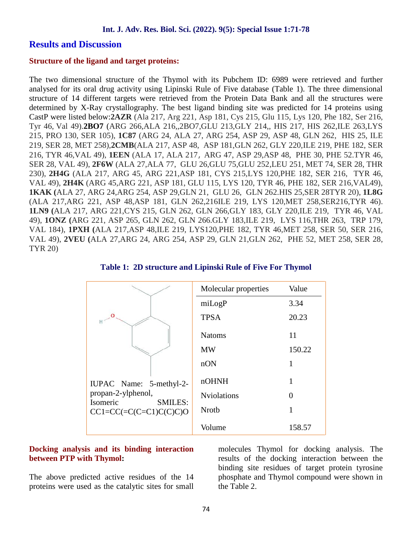### **Results and Discussion**

### **Structure of the ligand and target proteins:**

The two dimensional structure of the Thymol with its Pubchem ID: 6989 were retrieved and further analysed for its oral drug activity using Lipinski Rule of Five database (Table 1). The three dimensional structure of 14 different targets were retrieved from the Protein Data Bank and all the structures were determined by X-Ray crystallography. The best ligand binding site was predicted for 14 proteins using CastP were listed below:**2AZR** (Ala 217, Arg 221, Asp 181, Cys 215, Glu 115, Lys 120, Phe 182, Ser 216, Tyr 46, Val 49).**2BO7** (ARG 266,ALA 216,,2BO7,GLU 213,GLY 214,, HIS 217, HIS 262,ILE 263,LYS 215, PRO 130, SER 105), **1C87** (ARG 24, ALA 27, ARG 254, ASP 29, ASP 48, GLN 262, HIS 25, ILE 219, SER 28, MET 258),**2CMB**(ALA 217, ASP 48, ASP 181,GLN 262, GLY 220,ILE 219, PHE 182, SER 216, TYR 46,VAL 49), **1EEN** (ALA 17, ALA 217, ARG 47, ASP 29,ASP 48, PHE 30, PHE 52.TYR 46, SER 28, VAL 49), **2F6W** (ALA 27,ALA 77, GLU 26,GLU 75,GLU 252,LEU 251, MET 74, SER 28, THR 230), **2H4G** (ALA 217, ARG 45, ARG 221,ASP 181, CYS 215,LYS 120,PHE 182, SER 216, TYR 46, VAL 49), **2H4K** (ARG 45,ARG 221, ASP 181, GLU 115, LYS 120, TYR 46, PHE 182, SER 216,VAL49), **1KAK (**ALA 27, ARG 24,ARG 254, ASP 29,GLN 21, GLU 26, GLN 262.HIS 25,SER 28TYR 20), **1L8G** (ALA 217,ARG 221, ASP 48,ASP 181, GLN 262,216ILE 219, LYS 120,MET 258,SER216,TYR 46). **1LN9 (**ALA 217, ARG 221,CYS 215, GLN 262, GLN 266,GLY 183, GLY 220,ILE 219, TYR 46, VAL 49), **1ONZ (**ARG 221, ASP 265, GLN 262, GLN 266.GLY 183,ILE 219, LYS 116,THR 263, TRP 179, VAL 184), **1PXH (**ALA 217,ASP 48,ILE 219, LYS120,PHE 182, TYR 46,MET 258, SER 50, SER 216, VAL 49), **2VEU (**ALA 27,ARG 24, ARG 254, ASP 29, GLN 21,GLN 262, PHE 52, MET 258, SER 28, TYR 20)

**Table 1: 2D structure and Lipinski Rule of Five For Thymol**

# IUPAC Name: 5-methyl-2 propan-2-ylphenol, Isomeric SMILES:  $CC1=CC (=C(C=Cl)C(C)CO)$

| Molecular properties | Value  |
|----------------------|--------|
| miLogP               | 3.34   |
| <b>TPSA</b>          | 20.23  |
| <b>Natoms</b>        | 11     |
| MW                   | 150.22 |
| nON                  | 1      |
| nOHNH                | 1      |
| <b>Nviolations</b>   | 0      |
| Nroth                | 1      |
| Volume               | 158.57 |

### **Docking analysis and its binding interaction between PTP with Thymol:**

The above predicted active residues of the 14 proteins were used as the catalytic sites for small molecules Thymol for docking analysis. The results of the docking interaction between the binding site residues of target protein tyrosine phosphate and Thymol compound were shown in the Table 2.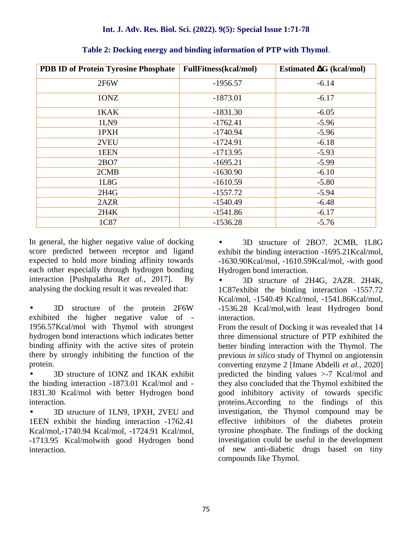| <b>PDB ID of Protein Tyrosine Phosphate</b> | <b>FullFitness</b> (kcal/mol) | G (kcal/mol)<br><b>Estimated</b> |
|---------------------------------------------|-------------------------------|----------------------------------|
| 2F6W                                        | $-1956.57$                    | $-6.14$                          |
| 10NZ                                        | $-1873.01$                    | $-6.17$                          |
| 1KAK                                        | $-1831.30$                    | $-6.05$                          |
| 1LN9                                        | $-1762.41$                    | $-5.96$                          |
| 1PXH                                        | $-1740.94$                    | $-5.96$                          |
| 2VEU                                        | $-1724.91$                    | $-6.18$                          |
| 1EEN                                        | $-1713.95$                    | $-5.93$                          |
| 2BO7                                        | $-1695.21$                    | $-5.99$                          |
| 2CMB                                        | $-1630.90$                    | $-6.10$                          |
| 1L8G                                        | $-1610.59$                    | $-5.80$                          |
| 2H4G                                        | $-1557.72$                    | $-5.94$                          |
| 2AZR                                        | $-1540.49$                    | $-6.48$                          |
| 2H4K                                        | $-1541.86$                    | $-6.17$                          |
| 1C87                                        | $-1536.28$                    | $-5.76$                          |

**Table 2: Docking energy and binding information of PTP with Thymol**.

In general, the higher negative value of docking score predicted between receptor and ligand expected to hold more binding affinity towards each other especially through hydrogen bonding interaction [Pushpalatha R*et al.,* 2017]. By analysing the docking result it was revealed that:

 3D structure of the protein 2F6W exhibited the higher negative value of - 1956.57Kcal/mol with Thymol with strongest hydrogen bond interactions which indicates better binding affinity with the active sites of protein there by strongly inhibiting the function of the protein.

 3D structure of 1ONZ and 1KAK exhibit the binding interaction -1873.01 Kcal/mol and - 1831.30 Kcal/mol with better Hydrogen bond interaction.

3D structure of 1LN9, 1PXH, 2VEU and 1EEN exhibit the binding interaction -1762.41 Kcal/mol,-1740.94 Kcal/mol, -1724.91 Kcal/mol, -1713.95 Kcal/molwith good Hydrogen bond interaction.

 3D structure of 2BO7. 2CMB, 1L8G exhibit the binding interaction -1695.21Kcal/mol, -1630.90Kcal/mol, -1610.59Kcal/mol, -with good Hydrogen bond interaction.

 3D structure of 2H4G, 2AZR. 2H4K, 1C87exhibit the binding interaction -1557.72 Kcal/mol, -1540.49 Kcal/mol, -1541.86Kcal/mol, -1536.28 Kcal/mol,with least Hydrogen bond interaction.

From the result of Docking it was revealed that 14 three dimensional structure of PTP exhibited the better binding interaction with the Thymol. The previous *in silico* study of Thymol on angiotensin converting enzyme 2 [Imane Abdelli *et al.,* 2020] predicted the binding values >-7 Kcal/mol and they also concluded that the Thymol exhibited the good inhibitory activity of towards specific proteins.According to the findings of this investigation, the Thymol compound may be effective inhibitors of the diabetes protein tyrosine phosphate. The findings of the docking investigation could be useful in the development of new anti-diabetic drugs based on tiny compounds like Thymol.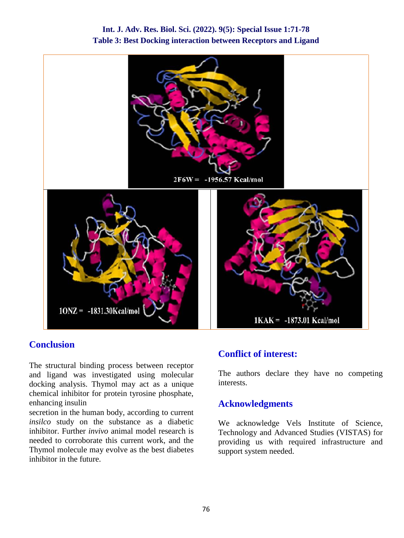

### **Int. J. Adv. Res. Biol. Sci. (2022). 9(5): Special Issue 1:71-78 Table 3: Best Docking interaction between Receptors and Ligand**

### **Conclusion**

The structural binding process between receptor and ligand was investigated using molecular docking analysis. Thymol may act as a unique chemical inhibitor for protein tyrosine phosphate, enhancing insulin

secretion in the human body, according to current *insilco* study on the substance as a diabetic inhibitor. Further *invivo* animal model research is needed to corroborate this current work, and the Thymol molecule may evolve as the best diabetes inhibitor in the future.

### **Conflict of interest:**

The authors declare they have no competing interests.

### **Acknowledgments**

We acknowledge Vels Institute of Science, Technology and Advanced Studies (VISTAS) for providing us with required infrastructure and support system needed.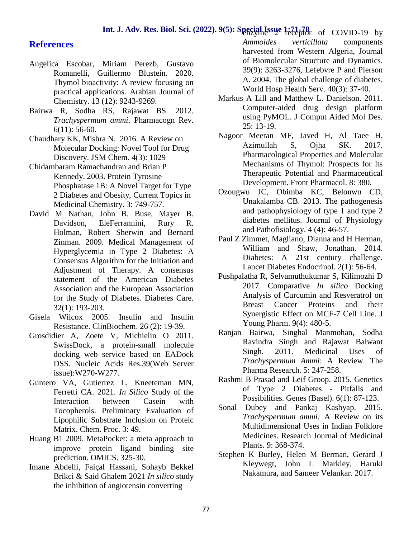### **Int. J. Adv. Res. Biol. Sci.** (2022). 9(5): Special Issue 1:71-78 of COVID-19 by

### **References**

- Angelica Escobar, Miriam Perezb, Gustavo Romanelli, Guillermo Blustein. 2020. Thymol bioactivity: A review focusing on practical applications. Arabian Journal of Chemistry. 13 (12): 9243-9269.
- Bairwa R, Sodha RS, Rajawat BS. 2012. *Trachyspermum ammi*. Pharmacogn Rev. 6(11): 56-60.
- Chaudhary KK, Mishra N. 2016. A Review on Molecular Docking: Novel Tool for Drug Discovery. JSM Chem. 4(3): 1029
- Chidambaram Ramachandran and Brian P Kennedy. 2003. Protein Tyrosine Phosphatase 1B: A Novel Target for Type 2 Diabetes and Obesity, Current Topics in Medicinal Chemistry. 3: 749-757.
- David M Nathan, John B. Buse, Mayer B. Davidson, EleFerrannini, Rury R. Holman, Robert Sherwin and Bernard Zinman. 2009. Medical Management of Hyperglycemia in Type 2 Diabetes: A Consensus Algorithm for the Initiation and Adjustment of Therapy. A consensus statement of the American Diabetes Association and the European Association for the Study of Diabetes. Diabetes Care. 32(1): 193-203.
- Gisela Wilcox 2005. Insulin and Insulin Resistance. ClinBiochem. 26 (2): 19-39.
- Grosdidier A, Zoete V, Michielin O 2011. SwissDock, a protein-small molecule docking web service based on EADock DSS. Nucleic Acids Res.39(Web Server issue):W270-W277.
- Guntero VA, Gutierrez L, Kneeteman MN, Ferretti CA. 2021. *In Silico* Study of the Interaction between Casein with Tocopherols. Preliminary Evaluation of Lipophilic Substrate Inclusion on Proteic Matrix. Chem. Proc. 3: 49.
- Huang B1 2009. MetaPocket: a meta approach to improve protein ligand binding site prediction. OMICS. 325-30.
- Imane Abdelli, Faiçal Hassani, Sohayb Bekkel Brikci & Said Ghalem 2021 *In silico* study the inhibition of angiotensin converting

*Ammoides verticillata* components harvested from Western Algeria, Journal of Biomolecular Structure and Dynamics. 39(9): 3263-3276, Lefebvre P and Pierson A. 2004. The global challenge of diabetes. World Hosp Health Serv. 40(3): 37-40.

- Markus A Lill and Matthew L. Danielson. 2011. Computer-aided drug design platform using PyMOL. J Comput Aided Mol Des. 25: 13-19.
- Nagoor Meeran MF, Javed H, Al Taee H, Azimullah S, Ojha SK. 2017. Pharmacological Properties and Molecular Mechanisms of Thymol: Prospects for Its Therapeutic Potential and Pharmaceutical Development. Front Pharmacol. 8: 380.
- Ozougwu JC, Obimba KC, Belonwu CD, Unakalamba CB. 2013. The pathogenesis and pathophysiology of type 1 and type 2 diabetes mellitus. Journal of Physiology and Pathofisiology. 4 (4): 46-57.
- Paul Z Zimmet, Magliano, Dianna and H Herman, William and Shaw, Jonathan. 2014. Diabetes: A 21st century challenge. Lancet Diabetes Endocrinol. 2(1): 56-64.
- Pushpalatha R, Selvamuthukumar S, Kilimozhi D 2017. Comparative *In silico* Docking Analysis of Curcumin and Resveratrol on Breast Cancer Proteins and their Synergistic Effect on MCF-7 Cell Line. J Young Pharm. 9(4): 480-5.
- Ranjan Bairwa, Singhal Manmohan, Sodha Ravindra Singh and Rajawat Balwant Singh. 2011. Medicinal Uses of *Trachyspermum Ammi*: A Review. The Pharma Research. 5: 247-258.
- Rashmi B Prasad and Leif Groop. 2015. Genetics of Type 2 Diabetes - Pitfalls and Possibilities. Genes (Basel). 6(1): 87-123.
- Sonal Dubey and Pankaj Kashyap. 2015. *Trachyspermum ammi:* A Review on its Multidimensional Uses in Indian Folklore Medicines. Research Journal of Medicinal Plants. 9: 368-374.
- Stephen K Burley, Helen M Berman, Gerard J Kleywegt, John L Markley, Haruki Nakamura, and Sameer Velankar. 2017.